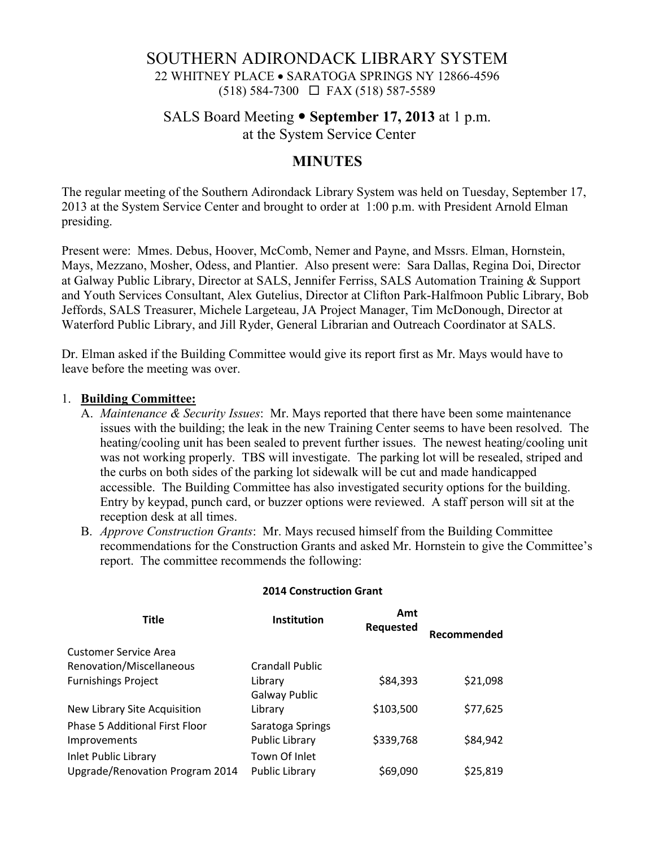# SOUTHERN ADIRONDACK LIBRARY SYSTEM 22 WHITNEY PLACE • SARATOGA SPRINGS NY 12866-4596 (518) 584-7300 FAX (518) 587-5589

## SALS Board Meeting **September 17, 2013** at 1 p.m. at the System Service Center

## **MINUTES**

The regular meeting of the Southern Adirondack Library System was held on Tuesday, September 17, 2013 at the System Service Center and brought to order at 1:00 p.m. with President Arnold Elman presiding.

Present were: Mmes. Debus, Hoover, McComb, Nemer and Payne, and Mssrs. Elman, Hornstein, Mays, Mezzano, Mosher, Odess, and Plantier. Also present were: Sara Dallas, Regina Doi, Director at Galway Public Library, Director at SALS, Jennifer Ferriss, SALS Automation Training & Support and Youth Services Consultant, Alex Gutelius, Director at Clifton Park-Halfmoon Public Library, Bob Jeffords, SALS Treasurer, Michele Largeteau, JA Project Manager, Tim McDonough, Director at Waterford Public Library, and Jill Ryder, General Librarian and Outreach Coordinator at SALS.

Dr. Elman asked if the Building Committee would give its report first as Mr. Mays would have to leave before the meeting was over.

### 1. **Building Committee:**

- A. *Maintenance & Security Issues*: Mr. Mays reported that there have been some maintenance issues with the building; the leak in the new Training Center seems to have been resolved. The heating/cooling unit has been sealed to prevent further issues. The newest heating/cooling unit was not working properly. TBS will investigate. The parking lot will be resealed, striped and the curbs on both sides of the parking lot sidewalk will be cut and made handicapped accessible. The Building Committee has also investigated security options for the building. Entry by keypad, punch card, or buzzer options were reviewed. A staff person will sit at the reception desk at all times.
- B. *Approve Construction Grants*: Mr. Mays recused himself from the Building Committee recommendations for the Construction Grants and asked Mr. Hornstein to give the Committee's report. The committee recommends the following:

| <b>Title</b>                          | Institution      | Amt<br>Requested | Recommended |
|---------------------------------------|------------------|------------------|-------------|
| Customer Service Area                 |                  |                  |             |
| Renovation/Miscellaneous              | Crandall Public  |                  |             |
| <b>Furnishings Project</b>            | Library          | \$84,393         | \$21,098    |
|                                       | Galway Public    |                  |             |
| New Library Site Acquisition          | Library          | \$103,500        | \$77,625    |
| <b>Phase 5 Additional First Floor</b> | Saratoga Springs |                  |             |
| Improvements                          | Public Library   | \$339,768        | \$84,942    |
| Inlet Public Library                  | Town Of Inlet    |                  |             |
| Upgrade/Renovation Program 2014       | Public Library   | \$69,090         | \$25,819    |

#### **2014 Construction Grant**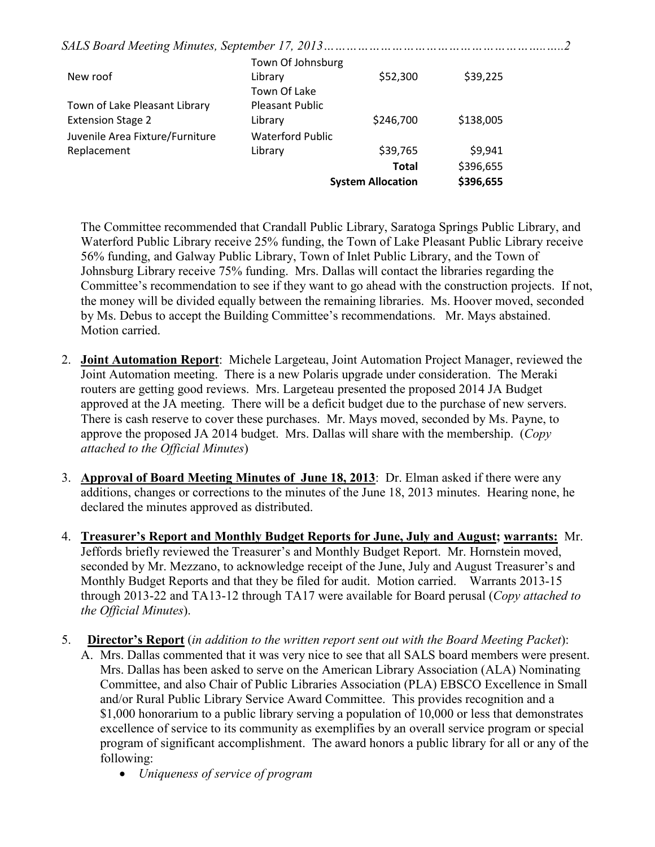|--|--|--|

|                                 | Town Of Johnsburg       |                          |           |
|---------------------------------|-------------------------|--------------------------|-----------|
| New roof                        | Library                 | \$52,300                 | \$39,225  |
|                                 | Town Of Lake            |                          |           |
| Town of Lake Pleasant Library   | <b>Pleasant Public</b>  |                          |           |
| <b>Extension Stage 2</b>        | Library                 | \$246,700                | \$138,005 |
| Juvenile Area Fixture/Furniture | <b>Waterford Public</b> |                          |           |
| Replacement                     | Library                 | \$39,765                 | \$9,941   |
|                                 |                         | <b>Total</b>             | \$396,655 |
|                                 |                         | <b>System Allocation</b> | \$396,655 |

The Committee recommended that Crandall Public Library, Saratoga Springs Public Library, and Waterford Public Library receive 25% funding, the Town of Lake Pleasant Public Library receive 56% funding, and Galway Public Library, Town of Inlet Public Library, and the Town of Johnsburg Library receive 75% funding. Mrs. Dallas will contact the libraries regarding the Committee's recommendation to see if they want to go ahead with the construction projects. If not, the money will be divided equally between the remaining libraries. Ms. Hoover moved, seconded by Ms. Debus to accept the Building Committee's recommendations. Mr. Mays abstained. Motion carried.

- 2. **Joint Automation Report**: Michele Largeteau, Joint Automation Project Manager, reviewed the Joint Automation meeting. There is a new Polaris upgrade under consideration. The Meraki routers are getting good reviews. Mrs. Largeteau presented the proposed 2014 JA Budget approved at the JA meeting. There will be a deficit budget due to the purchase of new servers. There is cash reserve to cover these purchases. Mr. Mays moved, seconded by Ms. Payne, to approve the proposed JA 2014 budget. Mrs. Dallas will share with the membership. (*Copy attached to the Official Minutes*)
- 3. **Approval of Board Meeting Minutes of June 18, 2013**: Dr. Elman asked if there were any additions, changes or corrections to the minutes of the June 18, 2013 minutes. Hearing none, he declared the minutes approved as distributed.
- 4. **Treasurer's Report and Monthly Budget Reports for June, July and August; warrants:** Mr. Jeffords briefly reviewed the Treasurer's and Monthly Budget Report. Mr. Hornstein moved, seconded by Mr. Mezzano, to acknowledge receipt of the June, July and August Treasurer's and Monthly Budget Reports and that they be filed for audit. Motion carried. Warrants 2013-15 through 2013-22 and TA13-12 through TA17 were available for Board perusal (*Copy attached to the Official Minutes*).
- 5. **Director's Report** (*in addition to the written report sent out with the Board Meeting Packet*):
	- A. Mrs. Dallas commented that it was very nice to see that all SALS board members were present. Mrs. Dallas has been asked to serve on the American Library Association (ALA) Nominating Committee, and also Chair of Public Libraries Association (PLA) EBSCO Excellence in Small and/or Rural Public Library Service Award Committee. This provides recognition and a \$1,000 honorarium to a public library serving a population of 10,000 or less that demonstrates excellence of service to its community as exemplifies by an overall service program or special program of significant accomplishment. The award honors a public library for all or any of the following:
		- *Uniqueness of service of program*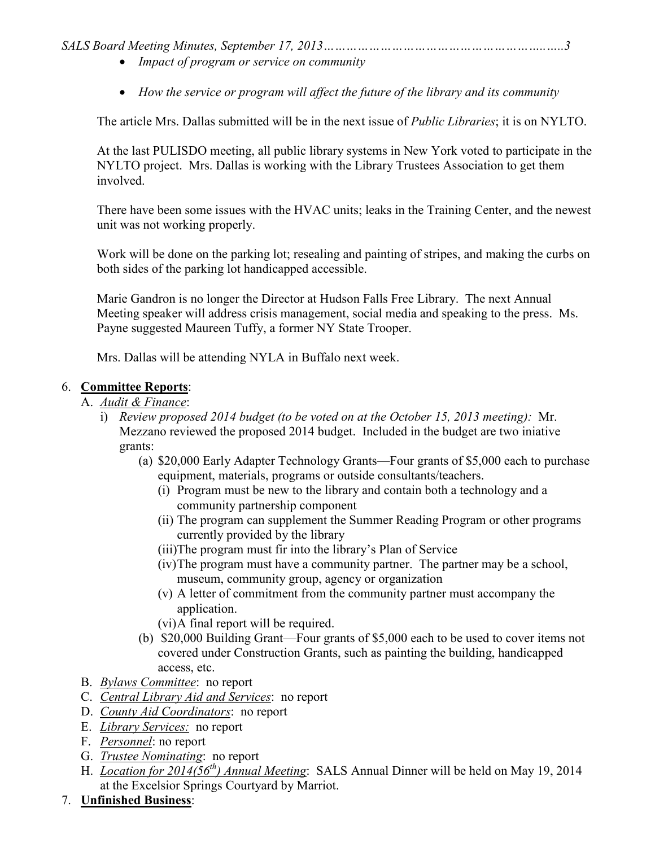*SALS Board Meeting Minutes, September 17, 2013…………………………………………………..…..3* 

- *Impact of program or service on community*
- *How the service or program will affect the future of the library and its community*

The article Mrs. Dallas submitted will be in the next issue of *Public Libraries*; it is on NYLTO.

At the last PULISDO meeting, all public library systems in New York voted to participate in the NYLTO project. Mrs. Dallas is working with the Library Trustees Association to get them involved.

There have been some issues with the HVAC units; leaks in the Training Center, and the newest unit was not working properly.

Work will be done on the parking lot; resealing and painting of stripes, and making the curbs on both sides of the parking lot handicapped accessible.

Marie Gandron is no longer the Director at Hudson Falls Free Library. The next Annual Meeting speaker will address crisis management, social media and speaking to the press. Ms. Payne suggested Maureen Tuffy, a former NY State Trooper.

Mrs. Dallas will be attending NYLA in Buffalo next week.

### 6. **Committee Reports**:

- A. *Audit & Finance*:
	- i) *Review proposed 2014 budget (to be voted on at the October 15, 2013 meeting):* Mr. Mezzano reviewed the proposed 2014 budget. Included in the budget are two iniative grants:
		- (a) \$20,000 Early Adapter Technology Grants—Four grants of \$5,000 each to purchase equipment, materials, programs or outside consultants/teachers.
			- (i) Program must be new to the library and contain both a technology and a community partnership component
			- (ii) The program can supplement the Summer Reading Program or other programs currently provided by the library
			- (iii)The program must fir into the library's Plan of Service
			- (iv)The program must have a community partner. The partner may be a school, museum, community group, agency or organization
			- (v) A letter of commitment from the community partner must accompany the application.
			- (vi)A final report will be required.
		- (b) \$20,000 Building Grant—Four grants of \$5,000 each to be used to cover items not covered under Construction Grants, such as painting the building, handicapped access, etc.
- B. *Bylaws Committee*: no report
- C. *Central Library Aid and Services*: no report
- D. *County Aid Coordinators*: no report
- E. *Library Services:* no report
- F. *Personnel*: no report
- G. *Trustee Nominating*: no report
- H. *Location for 2014(56th) Annual Meeting*: SALS Annual Dinner will be held on May 19, 2014 at the Excelsior Springs Courtyard by Marriot.
- 7. **Unfinished Business**: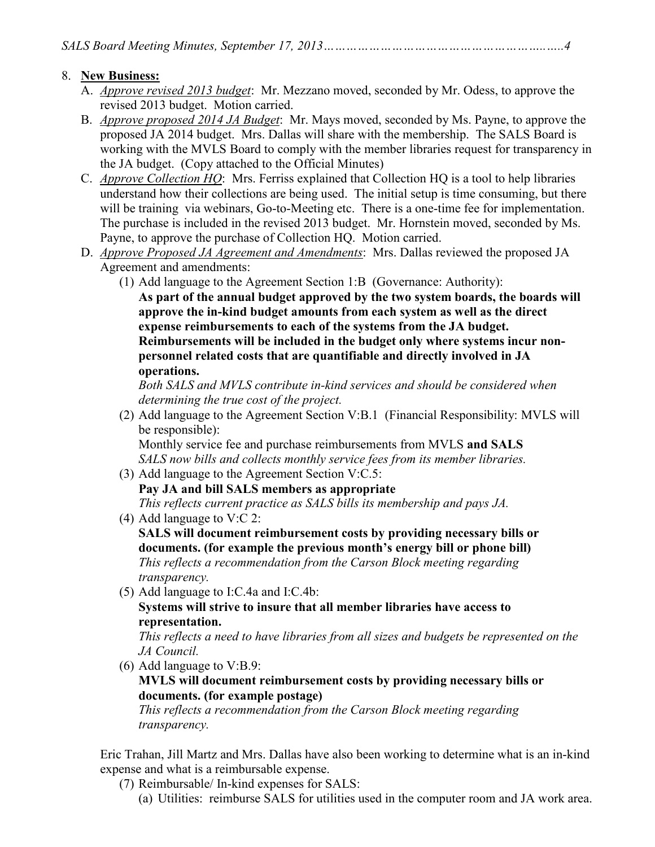## 8. **New Business:**

- A. *Approve revised 2013 budget*: Mr. Mezzano moved, seconded by Mr. Odess, to approve the revised 2013 budget. Motion carried.
- B. *Approve proposed 2014 JA Budget*: Mr. Mays moved, seconded by Ms. Payne, to approve the proposed JA 2014 budget. Mrs. Dallas will share with the membership. The SALS Board is working with the MVLS Board to comply with the member libraries request for transparency in the JA budget. (Copy attached to the Official Minutes)
- C. *Approve Collection HQ*: Mrs. Ferriss explained that Collection HQ is a tool to help libraries understand how their collections are being used. The initial setup is time consuming, but there will be training via webinars, Go-to-Meeting etc. There is a one-time fee for implementation. The purchase is included in the revised 2013 budget. Mr. Hornstein moved, seconded by Ms. Payne, to approve the purchase of Collection HQ. Motion carried.
- D. *Approve Proposed JA Agreement and Amendments*: Mrs. Dallas reviewed the proposed JA Agreement and amendments:
	- (1) Add language to the Agreement Section 1:B (Governance: Authority): **As part of the annual budget approved by the two system boards, the boards will approve the in-kind budget amounts from each system as well as the direct expense reimbursements to each of the systems from the JA budget. Reimbursements will be included in the budget only where systems incur nonpersonnel related costs that are quantifiable and directly involved in JA**

**operations.** 

*Both SALS and MVLS contribute in-kind services and should be considered when determining the true cost of the project.* 

(2) Add language to the Agreement Section V:B.1 (Financial Responsibility: MVLS will be responsible):

Monthly service fee and purchase reimbursements from MVLS **and SALS** *SALS now bills and collects monthly service fees from its member libraries.*  (3) Add language to the Agreement Section V:C.5:

- **Pay JA and bill SALS members as appropriate**  *This reflects current practice as SALS bills its membership and pays JA.*
- (4) Add language to V:C 2: **SALS will document reimbursement costs by providing necessary bills or documents. (for example the previous month's energy bill or phone bill)**  *This reflects a recommendation from the Carson Block meeting regarding transparency.*
- (5) Add language to I:C.4a and I:C.4b:

**Systems will strive to insure that all member libraries have access to representation.** 

*This reflects a need to have libraries from all sizes and budgets be represented on the JA Council.* 

(6) Add language to V:B.9:

### **MVLS will document reimbursement costs by providing necessary bills or documents. (for example postage)**

*This reflects a recommendation from the Carson Block meeting regarding transparency.* 

Eric Trahan, Jill Martz and Mrs. Dallas have also been working to determine what is an in-kind expense and what is a reimbursable expense.

- (7) Reimbursable/ In-kind expenses for SALS:
	- (a) Utilities: reimburse SALS for utilities used in the computer room and JA work area.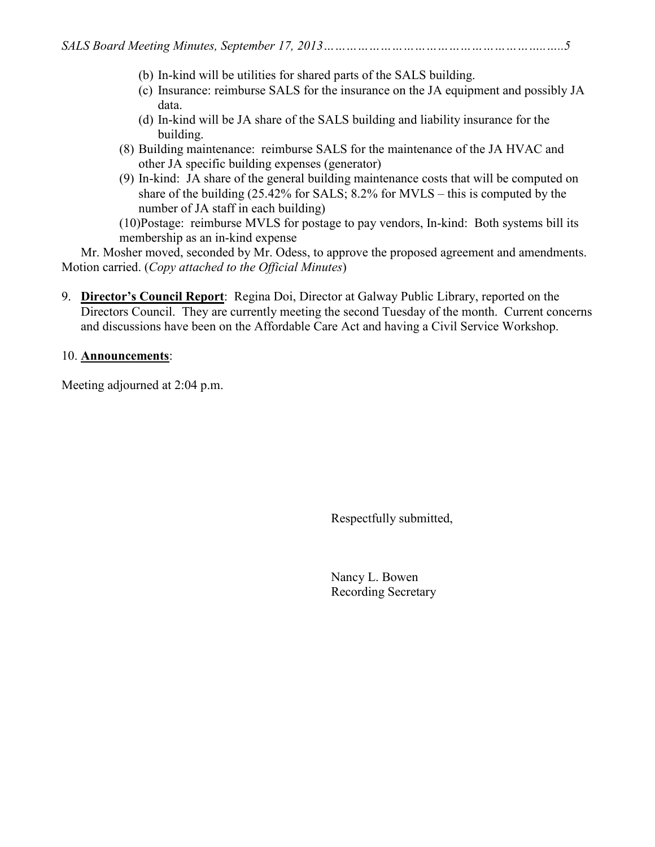- (b) In-kind will be utilities for shared parts of the SALS building.
- (c) Insurance: reimburse SALS for the insurance on the JA equipment and possibly JA data.
- (d) In-kind will be JA share of the SALS building and liability insurance for the building.
- (8) Building maintenance: reimburse SALS for the maintenance of the JA HVAC and other JA specific building expenses (generator)
- (9) In-kind: JA share of the general building maintenance costs that will be computed on share of the building (25.42% for SALS; 8.2% for MVLS – this is computed by the number of JA staff in each building)

(10)Postage: reimburse MVLS for postage to pay vendors, In-kind: Both systems bill its membership as an in-kind expense

Mr. Mosher moved, seconded by Mr. Odess, to approve the proposed agreement and amendments. Motion carried. (*Copy attached to the Official Minutes*)

9. **Director's Council Report**: Regina Doi, Director at Galway Public Library, reported on the Directors Council. They are currently meeting the second Tuesday of the month. Current concerns and discussions have been on the Affordable Care Act and having a Civil Service Workshop.

# 10. **Announcements**:

Meeting adjourned at 2:04 p.m.

Respectfully submitted,

 Nancy L. Bowen Recording Secretary